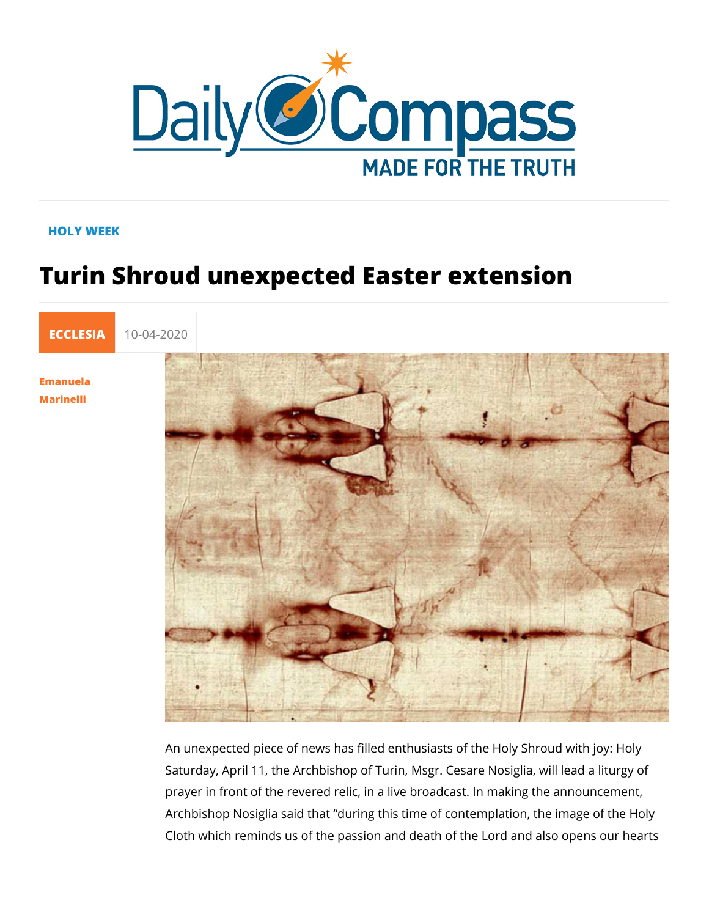## HOLY WEEK

## Turin Shroud unexpected Easter extens

[ECCLE](https://newdailycompass.com/en/ecclesia)S 10-04-2020

[Emanue](/en/emanuela-marinelli)la [Marine](/en/emanuela-marinelli)lli

> An unexpected piece of news has filled enthusiasts of the Holy Saturday, April 11, the Archbishop of Turin, Msgr. Cesare Nos prayer in front of the revered relic, in a live broadcast. In mal Archbishop Nosiglia dsuariidh gthtatis time of contemplation, the imag Cloth which reminds us of the passion and death of the Lord a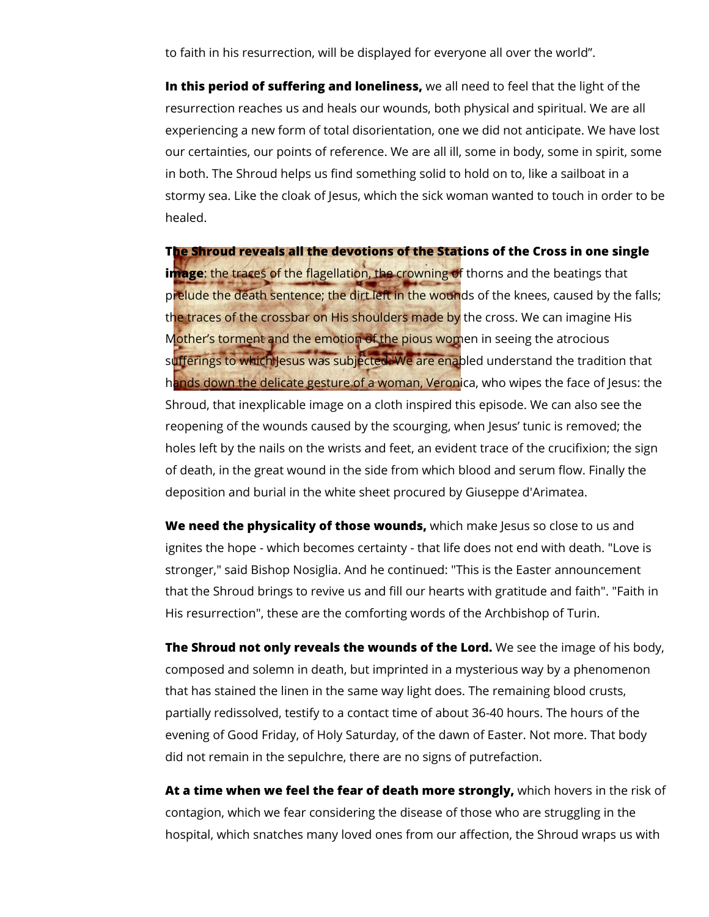to faith in his resurrection, will be displayed for everyone all over the world".

**In this period of suffering and loneliness,** we all need to feel that the light of the resurrection reaches us and heals our wounds, both physical and spiritual. We are all experiencing a new form of total disorientation, one we did not anticipate. We have lost our certainties, our points of reference. We are all ill, some in body, some in spirit, some in both. The Shroud helps us find something solid to hold on to, like a sailboat in a stormy sea. Like the cloak of Jesus, which the sick woman wanted to touch in order to be healed.

**The Shroud reveals all the devotions of the Stations of the Cross in one single image**: the traces of the flagellation, the crowning of thorns and the beatings that prelude the death sentence; the dirt left in the wounds of the knees, caused by the falls; the traces of the crossbar on His shoulders made by the cross. We can imagine His Mother's torment and the emotion of the pious women in seeing the atrocious sufferings to which Jesus was subjected. We are enabled understand the tradition that hands down the delicate gesture of a woman, Veronica, who wipes the face of Jesus: the Shroud, that inexplicable image on a cloth inspired this episode. We can also see the reopening of the wounds caused by the scourging, when Jesus' tunic is removed; the holes left by the nails on the wrists and feet, an evident trace of the crucifixion; the sign of death, in the great wound in the side from which blood and serum flow. Finally the deposition and burial in the white sheet procured by Giuseppe d'Arimatea.

**We need the physicality of those wounds,** which make Jesus so close to us and ignites the hope - which becomes certainty - that life does not end with death. "Love is stronger," said Bishop Nosiglia. And he continued: "This is the Easter announcement that the Shroud brings to revive us and fill our hearts with gratitude and faith". "Faith in His resurrection", these are the comforting words of the Archbishop of Turin.

**The Shroud not only reveals the wounds of the Lord.** We see the image of his body, composed and solemn in death, but imprinted in a mysterious way by a phenomenon that has stained the linen in the same way light does. The remaining blood crusts, partially redissolved, testify to a contact time of about 36-40 hours. The hours of the evening of Good Friday, of Holy Saturday, of the dawn of Easter. Not more. That body did not remain in the sepulchre, there are no signs of putrefaction.

**At a time when we feel the fear of death more strongly,** which hovers in the risk of contagion, which we fear considering the disease of those who are struggling in the hospital, which snatches many loved ones from our affection, the Shroud wraps us with